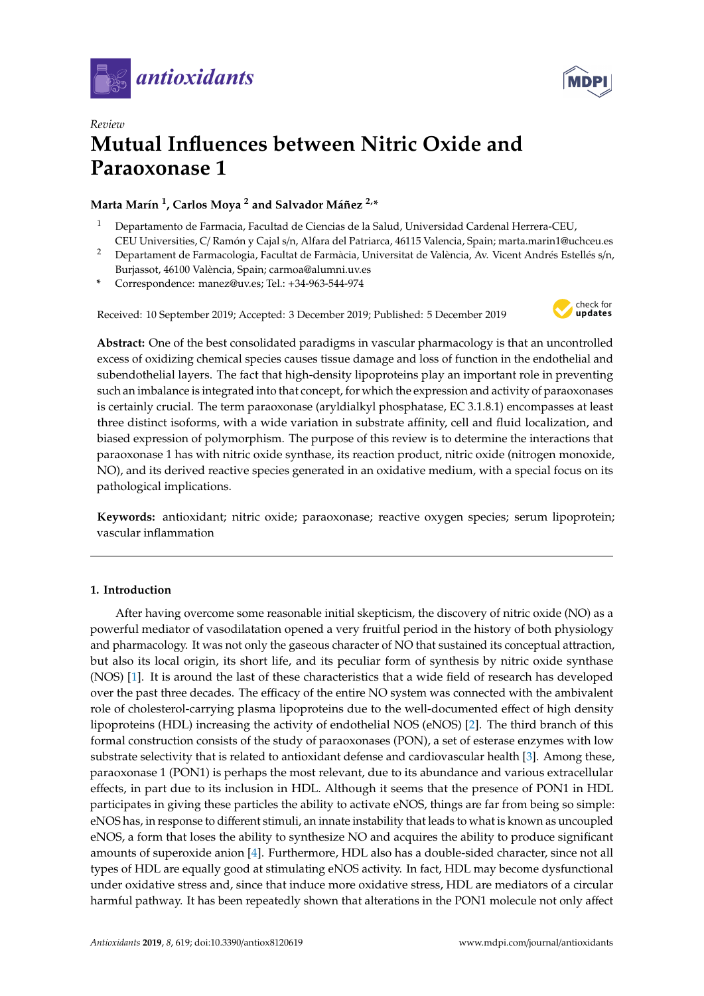



# *Review* **Mutual Influences between Nitric Oxide and Paraoxonase 1**

## **Marta Marín 1 , Carlos Moya <sup>2</sup> and Salvador Máñez 2,\***

- <sup>1</sup> Departamento de Farmacia, Facultad de Ciencias de la Salud, Universidad Cardenal Herrera-CEU, CEU Universities, C/ Ramón y Cajal s/n, Alfara del Patriarca, 46115 Valencia, Spain; marta.marin1@uchceu.es
- <sup>2</sup> Departament de Farmacologia, Facultat de Farmàcia, Universitat de València, Av. Vicent Andrés Estellés s/n, Burjassot, 46100 València, Spain; carmoa@alumni.uv.es
- **\*** Correspondence: manez@uv.es; Tel.: +34-963-544-974

Received: 10 September 2019; Accepted: 3 December 2019; Published: 5 December 2019



**Abstract:** One of the best consolidated paradigms in vascular pharmacology is that an uncontrolled excess of oxidizing chemical species causes tissue damage and loss of function in the endothelial and subendothelial layers. The fact that high-density lipoproteins play an important role in preventing such an imbalance is integrated into that concept, for which the expression and activity of paraoxonases is certainly crucial. The term paraoxonase (aryldialkyl phosphatase, EC 3.1.8.1) encompasses at least three distinct isoforms, with a wide variation in substrate affinity, cell and fluid localization, and biased expression of polymorphism. The purpose of this review is to determine the interactions that paraoxonase 1 has with nitric oxide synthase, its reaction product, nitric oxide (nitrogen monoxide, NO), and its derived reactive species generated in an oxidative medium, with a special focus on its pathological implications.

**Keywords:** antioxidant; nitric oxide; paraoxonase; reactive oxygen species; serum lipoprotein; vascular inflammation

## **1. Introduction**

After having overcome some reasonable initial skepticism, the discovery of nitric oxide (NO) as a powerful mediator of vasodilatation opened a very fruitful period in the history of both physiology and pharmacology. It was not only the gaseous character of NO that sustained its conceptual attraction, but also its local origin, its short life, and its peculiar form of synthesis by nitric oxide synthase (NOS) [\[1\]](#page-8-0). It is around the last of these characteristics that a wide field of research has developed over the past three decades. The efficacy of the entire NO system was connected with the ambivalent role of cholesterol-carrying plasma lipoproteins due to the well-documented effect of high density lipoproteins (HDL) increasing the activity of endothelial NOS (eNOS) [\[2\]](#page-8-1). The third branch of this formal construction consists of the study of paraoxonases (PON), a set of esterase enzymes with low substrate selectivity that is related to antioxidant defense and cardiovascular health [\[3\]](#page-8-2). Among these, paraoxonase 1 (PON1) is perhaps the most relevant, due to its abundance and various extracellular effects, in part due to its inclusion in HDL. Although it seems that the presence of PON1 in HDL participates in giving these particles the ability to activate eNOS, things are far from being so simple: eNOS has, in response to different stimuli, an innate instability that leads to what is known as uncoupled eNOS, a form that loses the ability to synthesize NO and acquires the ability to produce significant amounts of superoxide anion [\[4\]](#page-8-3). Furthermore, HDL also has a double-sided character, since not all types of HDL are equally good at stimulating eNOS activity. In fact, HDL may become dysfunctional under oxidative stress and, since that induce more oxidative stress, HDL are mediators of a circular harmful pathway. It has been repeatedly shown that alterations in the PON1 molecule not only affect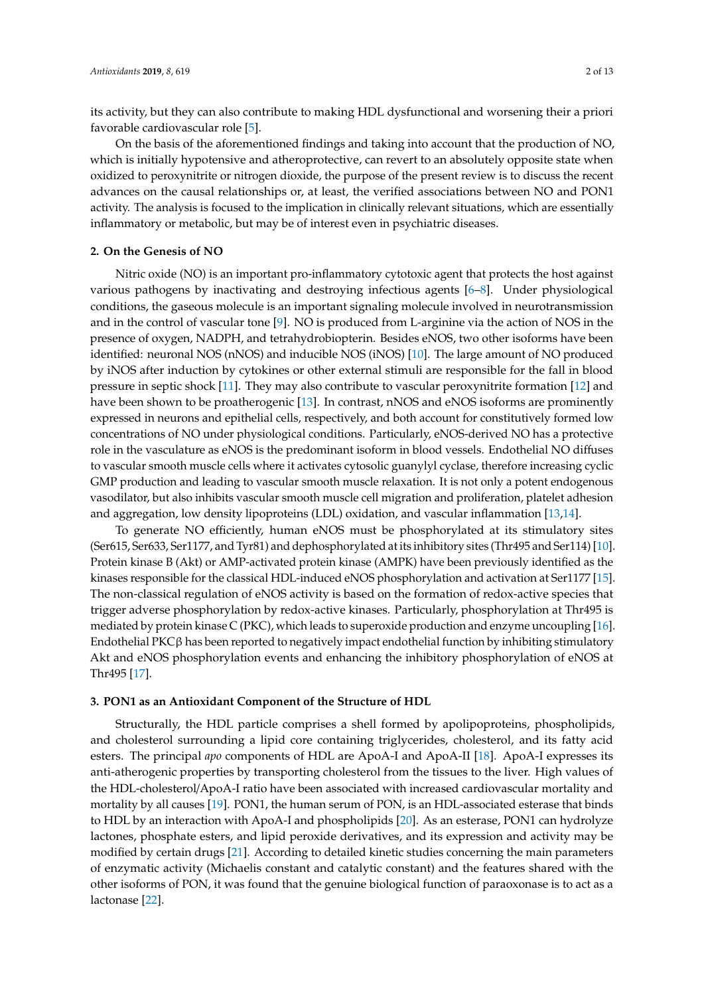its activity, but they can also contribute to making HDL dysfunctional and worsening their a priori favorable cardiovascular role [\[5\]](#page-8-4).

On the basis of the aforementioned findings and taking into account that the production of NO, which is initially hypotensive and atheroprotective, can revert to an absolutely opposite state when oxidized to peroxynitrite or nitrogen dioxide, the purpose of the present review is to discuss the recent advances on the causal relationships or, at least, the verified associations between NO and PON1 activity. The analysis is focused to the implication in clinically relevant situations, which are essentially inflammatory or metabolic, but may be of interest even in psychiatric diseases.

### **2. On the Genesis of NO**

Nitric oxide (NO) is an important pro-inflammatory cytotoxic agent that protects the host against various pathogens by inactivating and destroying infectious agents [\[6](#page-8-5)[–8\]](#page-8-6). Under physiological conditions, the gaseous molecule is an important signaling molecule involved in neurotransmission and in the control of vascular tone [\[9\]](#page-8-7). NO is produced from L-arginine via the action of NOS in the presence of oxygen, NADPH, and tetrahydrobiopterin. Besides eNOS, two other isoforms have been identified: neuronal NOS (nNOS) and inducible NOS (iNOS) [\[10\]](#page-8-8). The large amount of NO produced by iNOS after induction by cytokines or other external stimuli are responsible for the fall in blood pressure in septic shock [\[11\]](#page-8-9). They may also contribute to vascular peroxynitrite formation [\[12\]](#page-8-10) and have been shown to be proatherogenic [\[13\]](#page-8-11). In contrast, nNOS and eNOS isoforms are prominently expressed in neurons and epithelial cells, respectively, and both account for constitutively formed low concentrations of NO under physiological conditions. Particularly, eNOS-derived NO has a protective role in the vasculature as eNOS is the predominant isoform in blood vessels. Endothelial NO diffuses to vascular smooth muscle cells where it activates cytosolic guanylyl cyclase, therefore increasing cyclic GMP production and leading to vascular smooth muscle relaxation. It is not only a potent endogenous vasodilator, but also inhibits vascular smooth muscle cell migration and proliferation, platelet adhesion and aggregation, low density lipoproteins (LDL) oxidation, and vascular inflammation [\[13,](#page-8-11)[14\]](#page-8-12).

To generate NO efficiently, human eNOS must be phosphorylated at its stimulatory sites (Ser615, Ser633, Ser1177, and Tyr81) and dephosphorylated at its inhibitory sites (Thr495 and Ser114) [\[10\]](#page-8-8). Protein kinase B (Akt) or AMP-activated protein kinase (AMPK) have been previously identified as the kinases responsible for the classical HDL-induced eNOS phosphorylation and activation at Ser1177 [\[15\]](#page-8-13). The non-classical regulation of eNOS activity is based on the formation of redox-active species that trigger adverse phosphorylation by redox-active kinases. Particularly, phosphorylation at Thr495 is mediated by protein kinase C (PKC), which leads to superoxide production and enzyme uncoupling [\[16\]](#page-8-14). Endothelial PKCβ has been reported to negatively impact endothelial function by inhibiting stimulatory Akt and eNOS phosphorylation events and enhancing the inhibitory phosphorylation of eNOS at Thr495 [\[17\]](#page-8-15).

#### **3. PON1 as an Antioxidant Component of the Structure of HDL**

Structurally, the HDL particle comprises a shell formed by apolipoproteins, phospholipids, and cholesterol surrounding a lipid core containing triglycerides, cholesterol, and its fatty acid esters. The principal *apo* components of HDL are ApoA-I and ApoA-II [\[18\]](#page-8-16). ApoA-I expresses its anti-atherogenic properties by transporting cholesterol from the tissues to the liver. High values of the HDL-cholesterol/ApoA-I ratio have been associated with increased cardiovascular mortality and mortality by all causes [\[19\]](#page-9-0). PON1, the human serum of PON, is an HDL-associated esterase that binds to HDL by an interaction with ApoA-I and phospholipids [\[20\]](#page-9-1). As an esterase, PON1 can hydrolyze lactones, phosphate esters, and lipid peroxide derivatives, and its expression and activity may be modified by certain drugs [\[21\]](#page-9-2). According to detailed kinetic studies concerning the main parameters of enzymatic activity (Michaelis constant and catalytic constant) and the features shared with the other isoforms of PON, it was found that the genuine biological function of paraoxonase is to act as a lactonase [\[22\]](#page-9-3).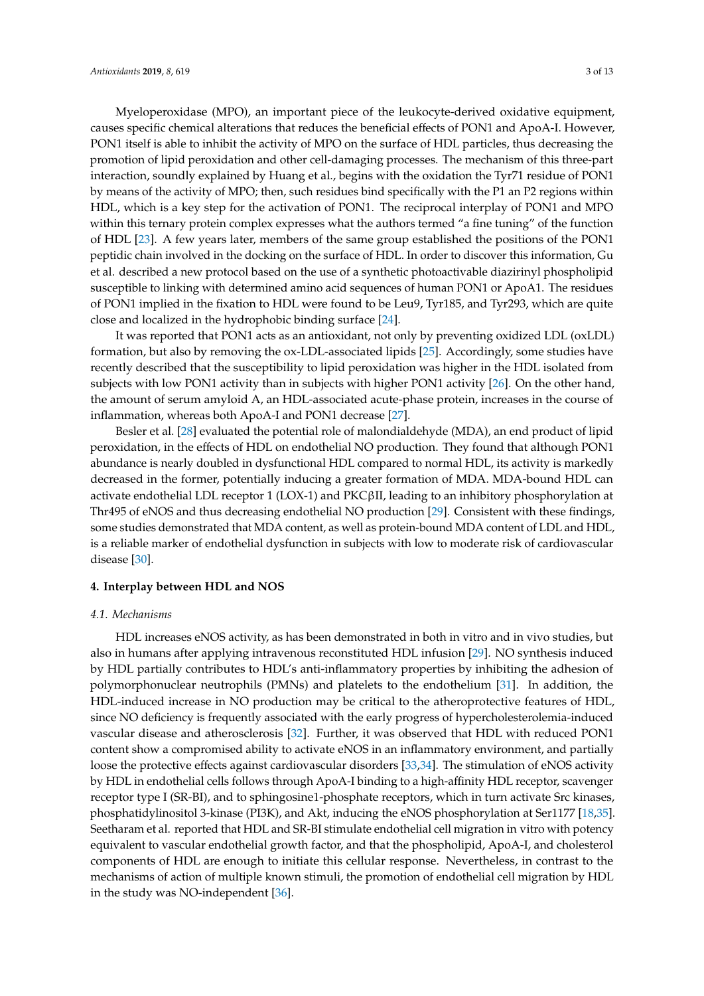Myeloperoxidase (MPO), an important piece of the leukocyte-derived oxidative equipment, causes specific chemical alterations that reduces the beneficial effects of PON1 and ApoA-I. However, PON1 itself is able to inhibit the activity of MPO on the surface of HDL particles, thus decreasing the promotion of lipid peroxidation and other cell-damaging processes. The mechanism of this three-part interaction, soundly explained by Huang et al., begins with the oxidation the Tyr71 residue of PON1 by means of the activity of MPO; then, such residues bind specifically with the P1 an P2 regions within HDL, which is a key step for the activation of PON1. The reciprocal interplay of PON1 and MPO within this ternary protein complex expresses what the authors termed "a fine tuning" of the function of HDL [\[23\]](#page-9-4). A few years later, members of the same group established the positions of the PON1 peptidic chain involved in the docking on the surface of HDL. In order to discover this information, Gu et al. described a new protocol based on the use of a synthetic photoactivable diazirinyl phospholipid susceptible to linking with determined amino acid sequences of human PON1 or ApoA1. The residues of PON1 implied in the fixation to HDL were found to be Leu9, Tyr185, and Tyr293, which are quite close and localized in the hydrophobic binding surface [\[24\]](#page-9-5).

It was reported that PON1 acts as an antioxidant, not only by preventing oxidized LDL (oxLDL) formation, but also by removing the ox-LDL-associated lipids [\[25\]](#page-9-6). Accordingly, some studies have recently described that the susceptibility to lipid peroxidation was higher in the HDL isolated from subjects with low PON1 activity than in subjects with higher PON1 activity [\[26\]](#page-9-7). On the other hand, the amount of serum amyloid A, an HDL-associated acute-phase protein, increases in the course of inflammation, whereas both ApoA-I and PON1 decrease [\[27\]](#page-9-8).

Besler et al. [\[28\]](#page-9-9) evaluated the potential role of malondialdehyde (MDA), an end product of lipid peroxidation, in the effects of HDL on endothelial NO production. They found that although PON1 abundance is nearly doubled in dysfunctional HDL compared to normal HDL, its activity is markedly decreased in the former, potentially inducing a greater formation of MDA. MDA-bound HDL can activate endothelial LDL receptor 1 (LOX-1) and PKCβII, leading to an inhibitory phosphorylation at Thr495 of eNOS and thus decreasing endothelial NO production [\[29\]](#page-9-10). Consistent with these findings, some studies demonstrated that MDA content, as well as protein-bound MDA content of LDL and HDL, is a reliable marker of endothelial dysfunction in subjects with low to moderate risk of cardiovascular disease [\[30\]](#page-9-11).

#### **4. Interplay between HDL and NOS**

#### *4.1. Mechanisms*

HDL increases eNOS activity, as has been demonstrated in both in vitro and in vivo studies, but also in humans after applying intravenous reconstituted HDL infusion [\[29\]](#page-9-10). NO synthesis induced by HDL partially contributes to HDL's anti-inflammatory properties by inhibiting the adhesion of polymorphonuclear neutrophils (PMNs) and platelets to the endothelium [\[31\]](#page-9-12). In addition, the HDL-induced increase in NO production may be critical to the atheroprotective features of HDL, since NO deficiency is frequently associated with the early progress of hypercholesterolemia-induced vascular disease and atherosclerosis [\[32\]](#page-9-13). Further, it was observed that HDL with reduced PON1 content show a compromised ability to activate eNOS in an inflammatory environment, and partially loose the protective effects against cardiovascular disorders [\[33](#page-9-14)[,34\]](#page-9-15). The stimulation of eNOS activity by HDL in endothelial cells follows through ApoA-I binding to a high-affinity HDL receptor, scavenger receptor type I (SR-BI), and to sphingosine1-phosphate receptors, which in turn activate Src kinases, phosphatidylinositol 3-kinase (PI3K), and Akt, inducing the eNOS phosphorylation at Ser1177 [\[18](#page-8-16)[,35\]](#page-9-16). Seetharam et al. reported that HDL and SR-BI stimulate endothelial cell migration in vitro with potency equivalent to vascular endothelial growth factor, and that the phospholipid, ApoA-I, and cholesterol components of HDL are enough to initiate this cellular response. Nevertheless, in contrast to the mechanisms of action of multiple known stimuli, the promotion of endothelial cell migration by HDL in the study was NO-independent [\[36\]](#page-9-17).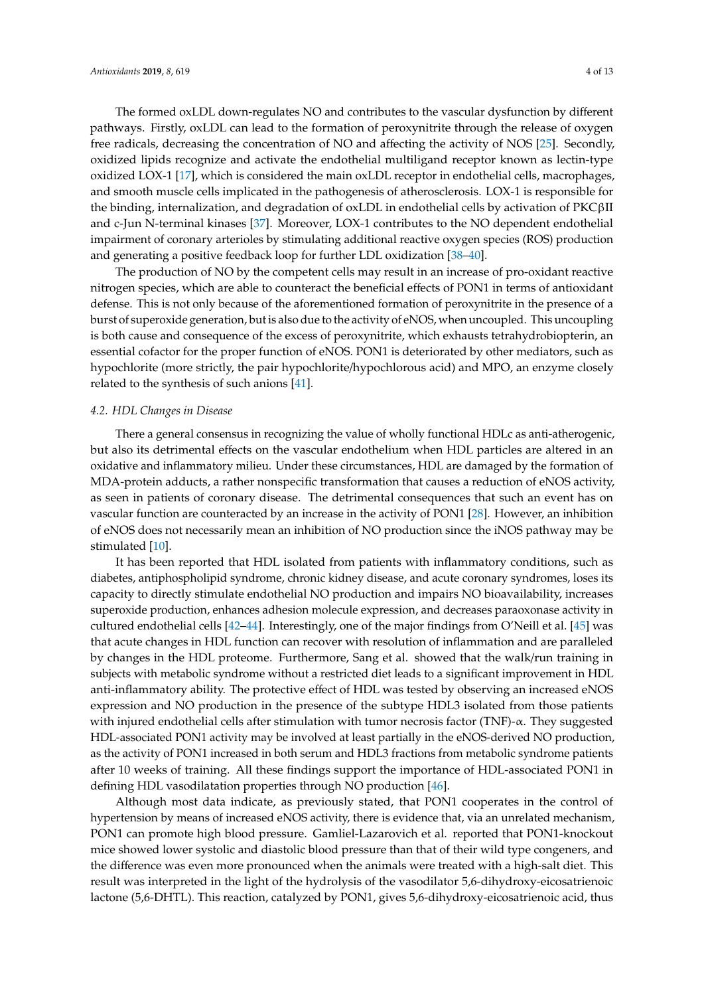The formed oxLDL down-regulates NO and contributes to the vascular dysfunction by different pathways. Firstly, oxLDL can lead to the formation of peroxynitrite through the release of oxygen free radicals, decreasing the concentration of NO and affecting the activity of NOS [\[25\]](#page-9-6). Secondly, oxidized lipids recognize and activate the endothelial multiligand receptor known as lectin-type oxidized LOX-1 [\[17\]](#page-8-15), which is considered the main oxLDL receptor in endothelial cells, macrophages, and smooth muscle cells implicated in the pathogenesis of atherosclerosis. LOX-1 is responsible for the binding, internalization, and degradation of oxLDL in endothelial cells by activation of PKCβII and c-Jun N-terminal kinases [\[37\]](#page-9-18). Moreover, LOX-1 contributes to the NO dependent endothelial impairment of coronary arterioles by stimulating additional reactive oxygen species (ROS) production and generating a positive feedback loop for further LDL oxidization [\[38–](#page-10-0)[40\]](#page-10-1).

The production of NO by the competent cells may result in an increase of pro-oxidant reactive nitrogen species, which are able to counteract the beneficial effects of PON1 in terms of antioxidant defense. This is not only because of the aforementioned formation of peroxynitrite in the presence of a burst of superoxide generation, but is also due to the activity of eNOS, when uncoupled. This uncoupling is both cause and consequence of the excess of peroxynitrite, which exhausts tetrahydrobiopterin, an essential cofactor for the proper function of eNOS. PON1 is deteriorated by other mediators, such as hypochlorite (more strictly, the pair hypochlorite/hypochlorous acid) and MPO, an enzyme closely related to the synthesis of such anions [\[41\]](#page-10-2).

#### *4.2. HDL Changes in Disease*

There a general consensus in recognizing the value of wholly functional HDLc as anti-atherogenic, but also its detrimental effects on the vascular endothelium when HDL particles are altered in an oxidative and inflammatory milieu. Under these circumstances, HDL are damaged by the formation of MDA-protein adducts, a rather nonspecific transformation that causes a reduction of eNOS activity, as seen in patients of coronary disease. The detrimental consequences that such an event has on vascular function are counteracted by an increase in the activity of PON1 [\[28\]](#page-9-9). However, an inhibition of eNOS does not necessarily mean an inhibition of NO production since the iNOS pathway may be stimulated [\[10\]](#page-8-8).

It has been reported that HDL isolated from patients with inflammatory conditions, such as diabetes, antiphospholipid syndrome, chronic kidney disease, and acute coronary syndromes, loses its capacity to directly stimulate endothelial NO production and impairs NO bioavailability, increases superoxide production, enhances adhesion molecule expression, and decreases paraoxonase activity in cultured endothelial cells [\[42](#page-10-3)[–44\]](#page-10-4). Interestingly, one of the major findings from O'Neill et al. [\[45\]](#page-10-5) was that acute changes in HDL function can recover with resolution of inflammation and are paralleled by changes in the HDL proteome. Furthermore, Sang et al. showed that the walk/run training in subjects with metabolic syndrome without a restricted diet leads to a significant improvement in HDL anti-inflammatory ability. The protective effect of HDL was tested by observing an increased eNOS expression and NO production in the presence of the subtype HDL3 isolated from those patients with injured endothelial cells after stimulation with tumor necrosis factor (TNF)- $\alpha$ . They suggested HDL-associated PON1 activity may be involved at least partially in the eNOS-derived NO production, as the activity of PON1 increased in both serum and HDL3 fractions from metabolic syndrome patients after 10 weeks of training. All these findings support the importance of HDL-associated PON1 in defining HDL vasodilatation properties through NO production [\[46\]](#page-10-6).

Although most data indicate, as previously stated, that PON1 cooperates in the control of hypertension by means of increased eNOS activity, there is evidence that, via an unrelated mechanism, PON1 can promote high blood pressure. Gamliel-Lazarovich et al. reported that PON1-knockout mice showed lower systolic and diastolic blood pressure than that of their wild type congeners, and the difference was even more pronounced when the animals were treated with a high-salt diet. This result was interpreted in the light of the hydrolysis of the vasodilator 5,6-dihydroxy-eicosatrienoic lactone (5,6-DHTL). This reaction, catalyzed by PON1, gives 5,6-dihydroxy-eicosatrienoic acid, thus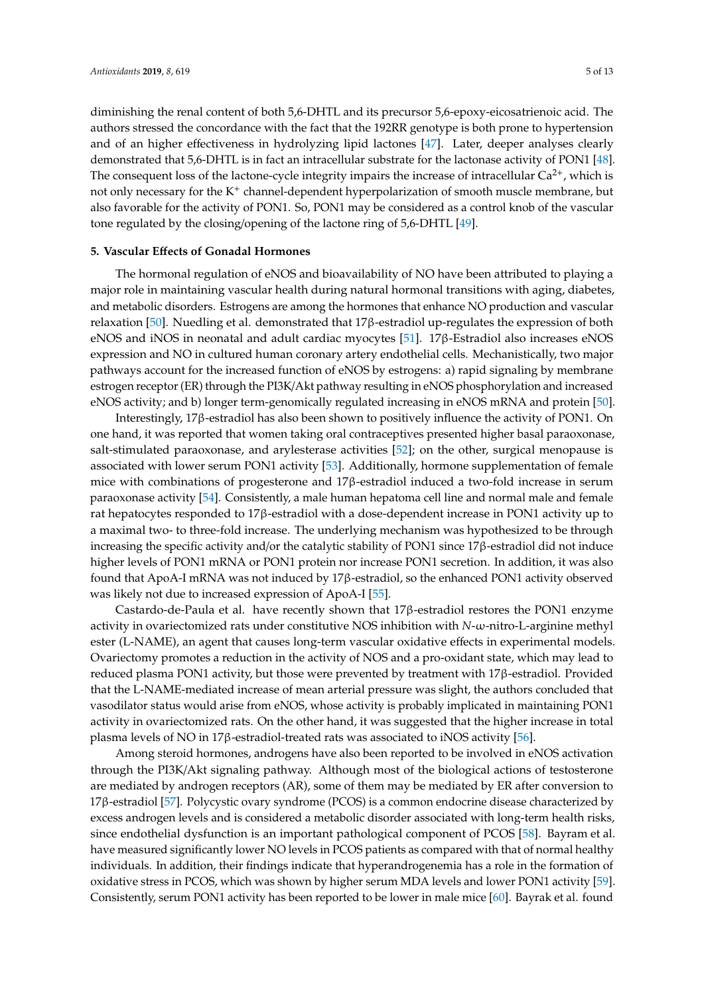diminishing the renal content of both 5,6-DHTL and its precursor 5,6-epoxy-eicosatrienoic acid. The authors stressed the concordance with the fact that the 192RR genotype is both prone to hypertension and of an higher effectiveness in hydrolyzing lipid lactones [\[47\]](#page-10-7). Later, deeper analyses clearly demonstrated that 5,6-DHTL is in fact an intracellular substrate for the lactonase activity of PON1 [\[48\]](#page-10-8). The consequent loss of the lactone-cycle integrity impairs the increase of intracellular  $Ca^{2+}$ , which is not only necessary for the K<sup>+</sup> channel-dependent hyperpolarization of smooth muscle membrane, but also favorable for the activity of PON1. So, PON1 may be considered as a control knob of the vascular tone regulated by the closing/opening of the lactone ring of 5,6-DHTL [\[49\]](#page-10-9).

## **5. Vascular E**ff**ects of Gonadal Hormones**

The hormonal regulation of eNOS and bioavailability of NO have been attributed to playing a major role in maintaining vascular health during natural hormonal transitions with aging, diabetes, and metabolic disorders. Estrogens are among the hormones that enhance NO production and vascular relaxation [\[50\]](#page-10-10). Nuedling et al. demonstrated that 17β-estradiol up-regulates the expression of both eNOS and iNOS in neonatal and adult cardiac myocytes [\[51\]](#page-10-11). 17β-Estradiol also increases eNOS expression and NO in cultured human coronary artery endothelial cells. Mechanistically, two major pathways account for the increased function of eNOS by estrogens: a) rapid signaling by membrane estrogen receptor (ER) through the PI3K/Akt pathway resulting in eNOS phosphorylation and increased eNOS activity; and b) longer term-genomically regulated increasing in eNOS mRNA and protein [\[50\]](#page-10-10).

Interestingly, 17β-estradiol has also been shown to positively influence the activity of PON1. On one hand, it was reported that women taking oral contraceptives presented higher basal paraoxonase, salt-stimulated paraoxonase, and arylesterase activities [\[52\]](#page-10-12); on the other, surgical menopause is associated with lower serum PON1 activity [\[53\]](#page-10-13). Additionally, hormone supplementation of female mice with combinations of progesterone and 17β-estradiol induced a two-fold increase in serum paraoxonase activity [\[54\]](#page-10-14). Consistently, a male human hepatoma cell line and normal male and female rat hepatocytes responded to 17β-estradiol with a dose-dependent increase in PON1 activity up to a maximal two- to three-fold increase. The underlying mechanism was hypothesized to be through increasing the specific activity and/or the catalytic stability of PON1 since 17β-estradiol did not induce higher levels of PON1 mRNA or PON1 protein nor increase PON1 secretion. In addition, it was also found that ApoA-I mRNA was not induced by 17β-estradiol, so the enhanced PON1 activity observed was likely not due to increased expression of ApoA-I [\[55\]](#page-10-15).

Castardo-de-Paula et al. have recently shown that 17β-estradiol restores the PON1 enzyme activity in ovariectomized rats under constitutive NOS inhibition with *N*-ω-nitro-L-arginine methyl ester (L-NAME), an agent that causes long-term vascular oxidative effects in experimental models. Ovariectomy promotes a reduction in the activity of NOS and a pro-oxidant state, which may lead to reduced plasma PON1 activity, but those were prevented by treatment with 17β-estradiol. Provided that the L-NAME-mediated increase of mean arterial pressure was slight, the authors concluded that vasodilator status would arise from eNOS, whose activity is probably implicated in maintaining PON1 activity in ovariectomized rats. On the other hand, it was suggested that the higher increase in total plasma levels of NO in 17β-estradiol-treated rats was associated to iNOS activity [\[56\]](#page-11-0).

Among steroid hormones, androgens have also been reported to be involved in eNOS activation through the PI3K/Akt signaling pathway. Although most of the biological actions of testosterone are mediated by androgen receptors (AR), some of them may be mediated by ER after conversion to 17β-estradiol [\[57\]](#page-11-1). Polycystic ovary syndrome (PCOS) is a common endocrine disease characterized by excess androgen levels and is considered a metabolic disorder associated with long-term health risks, since endothelial dysfunction is an important pathological component of PCOS [\[58\]](#page-11-2). Bayram et al. have measured significantly lower NO levels in PCOS patients as compared with that of normal healthy individuals. In addition, their findings indicate that hyperandrogenemia has a role in the formation of oxidative stress in PCOS, which was shown by higher serum MDA levels and lower PON1 activity [\[59\]](#page-11-3). Consistently, serum PON1 activity has been reported to be lower in male mice [\[60\]](#page-11-4). Bayrak et al. found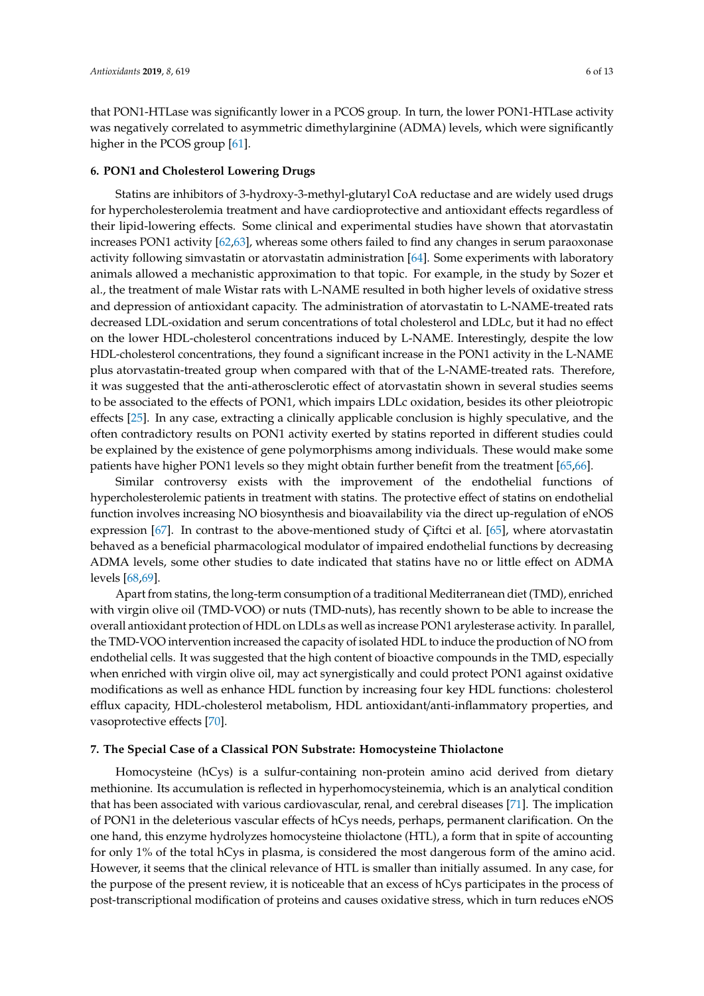that PON1-HTLase was significantly lower in a PCOS group. In turn, the lower PON1-HTLase activity was negatively correlated to asymmetric dimethylarginine (ADMA) levels, which were significantly higher in the PCOS group [\[61\]](#page-11-5).

#### **6. PON1 and Cholesterol Lowering Drugs**

Statins are inhibitors of 3-hydroxy-3-methyl-glutaryl CoA reductase and are widely used drugs for hypercholesterolemia treatment and have cardioprotective and antioxidant effects regardless of their lipid-lowering effects. Some clinical and experimental studies have shown that atorvastatin increases PON1 activity [\[62](#page-11-6)[,63\]](#page-11-7), whereas some others failed to find any changes in serum paraoxonase activity following simvastatin or atorvastatin administration [\[64\]](#page-11-8). Some experiments with laboratory animals allowed a mechanistic approximation to that topic. For example, in the study by Sozer et al., the treatment of male Wistar rats with L-NAME resulted in both higher levels of oxidative stress and depression of antioxidant capacity. The administration of atorvastatin to L-NAME-treated rats decreased LDL-oxidation and serum concentrations of total cholesterol and LDLc, but it had no effect on the lower HDL-cholesterol concentrations induced by L-NAME. Interestingly, despite the low HDL-cholesterol concentrations, they found a significant increase in the PON1 activity in the L-NAME plus atorvastatin-treated group when compared with that of the L-NAME-treated rats. Therefore, it was suggested that the anti-atherosclerotic effect of atorvastatin shown in several studies seems to be associated to the effects of PON1, which impairs LDLc oxidation, besides its other pleiotropic effects [\[25\]](#page-9-6). In any case, extracting a clinically applicable conclusion is highly speculative, and the often contradictory results on PON1 activity exerted by statins reported in different studies could be explained by the existence of gene polymorphisms among individuals. These would make some patients have higher PON1 levels so they might obtain further benefit from the treatment [\[65](#page-11-9)[,66\]](#page-11-10).

Similar controversy exists with the improvement of the endothelial functions of hypercholesterolemic patients in treatment with statins. The protective effect of statins on endothelial function involves increasing NO biosynthesis and bioavailability via the direct up-regulation of eNOS expression [\[67\]](#page-11-11). In contrast to the above-mentioned study of Çiftci et al. [\[65\]](#page-11-9), where atorvastatin behaved as a beneficial pharmacological modulator of impaired endothelial functions by decreasing ADMA levels, some other studies to date indicated that statins have no or little effect on ADMA levels [\[68](#page-11-12)[,69\]](#page-11-13).

Apart from statins, the long-term consumption of a traditional Mediterranean diet (TMD), enriched with virgin olive oil (TMD-VOO) or nuts (TMD-nuts), has recently shown to be able to increase the overall antioxidant protection of HDL on LDLs as well as increase PON1 arylesterase activity. In parallel, the TMD-VOO intervention increased the capacity of isolated HDL to induce the production of NO from endothelial cells. It was suggested that the high content of bioactive compounds in the TMD, especially when enriched with virgin olive oil, may act synergistically and could protect PON1 against oxidative modifications as well as enhance HDL function by increasing four key HDL functions: cholesterol efflux capacity, HDL-cholesterol metabolism, HDL antioxidant/anti-inflammatory properties, and vasoprotective effects [\[70\]](#page-11-14).

#### **7. The Special Case of a Classical PON Substrate: Homocysteine Thiolactone**

Homocysteine (hCys) is a sulfur-containing non-protein amino acid derived from dietary methionine. Its accumulation is reflected in hyperhomocysteinemia, which is an analytical condition that has been associated with various cardiovascular, renal, and cerebral diseases [\[71\]](#page-11-15). The implication of PON1 in the deleterious vascular effects of hCys needs, perhaps, permanent clarification. On the one hand, this enzyme hydrolyzes homocysteine thiolactone (HTL), a form that in spite of accounting for only 1% of the total hCys in plasma, is considered the most dangerous form of the amino acid. However, it seems that the clinical relevance of HTL is smaller than initially assumed. In any case, for the purpose of the present review, it is noticeable that an excess of hCys participates in the process of post-transcriptional modification of proteins and causes oxidative stress, which in turn reduces eNOS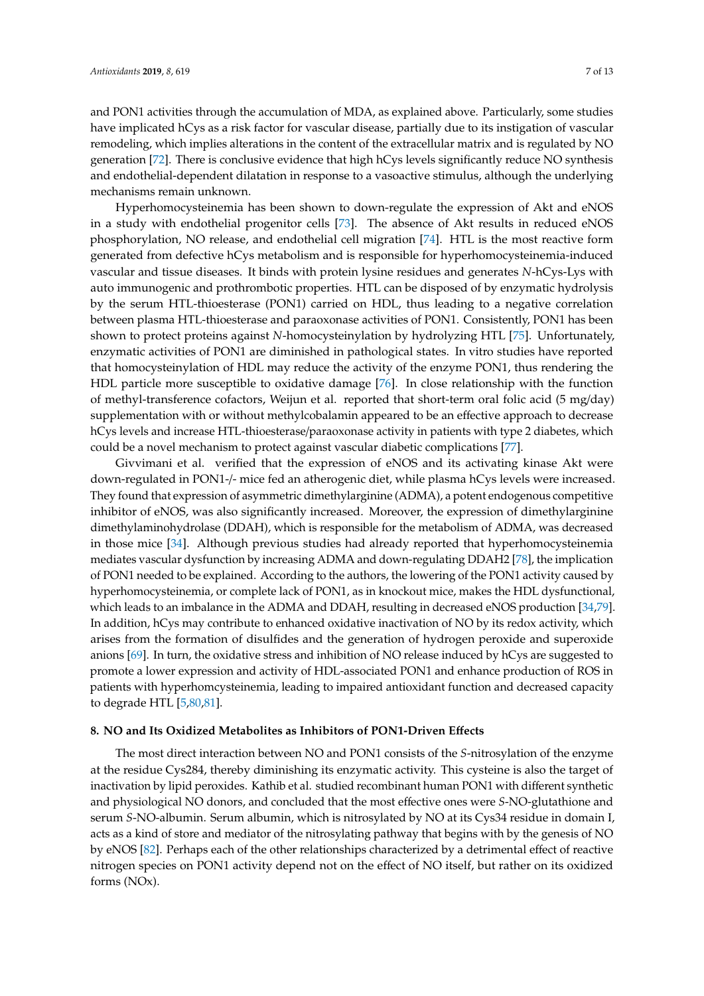and PON1 activities through the accumulation of MDA, as explained above. Particularly, some studies have implicated hCys as a risk factor for vascular disease, partially due to its instigation of vascular remodeling, which implies alterations in the content of the extracellular matrix and is regulated by NO generation [\[72\]](#page-11-16). There is conclusive evidence that high hCys levels significantly reduce NO synthesis and endothelial-dependent dilatation in response to a vasoactive stimulus, although the underlying mechanisms remain unknown.

Hyperhomocysteinemia has been shown to down-regulate the expression of Akt and eNOS in a study with endothelial progenitor cells [\[73\]](#page-11-17). The absence of Akt results in reduced eNOS phosphorylation, NO release, and endothelial cell migration [\[74\]](#page-12-0). HTL is the most reactive form generated from defective hCys metabolism and is responsible for hyperhomocysteinemia-induced vascular and tissue diseases. It binds with protein lysine residues and generates *N*-hCys-Lys with auto immunogenic and prothrombotic properties. HTL can be disposed of by enzymatic hydrolysis by the serum HTL-thioesterase (PON1) carried on HDL, thus leading to a negative correlation between plasma HTL-thioesterase and paraoxonase activities of PON1. Consistently, PON1 has been shown to protect proteins against *N*-homocysteinylation by hydrolyzing HTL [\[75\]](#page-12-1). Unfortunately, enzymatic activities of PON1 are diminished in pathological states. In vitro studies have reported that homocysteinylation of HDL may reduce the activity of the enzyme PON1, thus rendering the HDL particle more susceptible to oxidative damage [\[76\]](#page-12-2). In close relationship with the function of methyl-transference cofactors, Weijun et al. reported that short-term oral folic acid (5 mg/day) supplementation with or without methylcobalamin appeared to be an effective approach to decrease hCys levels and increase HTL-thioesterase/paraoxonase activity in patients with type 2 diabetes, which could be a novel mechanism to protect against vascular diabetic complications [\[77\]](#page-12-3).

Givvimani et al. verified that the expression of eNOS and its activating kinase Akt were down-regulated in PON1-/- mice fed an atherogenic diet, while plasma hCys levels were increased. They found that expression of asymmetric dimethylarginine (ADMA), a potent endogenous competitive inhibitor of eNOS, was also significantly increased. Moreover, the expression of dimethylarginine dimethylaminohydrolase (DDAH), which is responsible for the metabolism of ADMA, was decreased in those mice [\[34\]](#page-9-15). Although previous studies had already reported that hyperhomocysteinemia mediates vascular dysfunction by increasing ADMA and down-regulating DDAH2 [\[78\]](#page-12-4), the implication of PON1 needed to be explained. According to the authors, the lowering of the PON1 activity caused by hyperhomocysteinemia, or complete lack of PON1, as in knockout mice, makes the HDL dysfunctional, which leads to an imbalance in the ADMA and DDAH, resulting in decreased eNOS production [\[34](#page-9-15)[,79\]](#page-12-5). In addition, hCys may contribute to enhanced oxidative inactivation of NO by its redox activity, which arises from the formation of disulfides and the generation of hydrogen peroxide and superoxide anions [\[69\]](#page-11-13). In turn, the oxidative stress and inhibition of NO release induced by hCys are suggested to promote a lower expression and activity of HDL-associated PON1 and enhance production of ROS in patients with hyperhomcysteinemia, leading to impaired antioxidant function and decreased capacity to degrade HTL [\[5,](#page-8-4)[80,](#page-12-6)[81\]](#page-12-7).

## **8. NO and Its Oxidized Metabolites as Inhibitors of PON1-Driven E**ff**ects**

The most direct interaction between NO and PON1 consists of the *S*-nitrosylation of the enzyme at the residue Cys284, thereby diminishing its enzymatic activity. This cysteine is also the target of inactivation by lipid peroxides. Kathib et al. studied recombinant human PON1 with different synthetic and physiological NO donors, and concluded that the most effective ones were *S*-NO-glutathione and serum *S*-NO-albumin. Serum albumin, which is nitrosylated by NO at its Cys34 residue in domain I, acts as a kind of store and mediator of the nitrosylating pathway that begins with by the genesis of NO by eNOS [\[82\]](#page-12-8). Perhaps each of the other relationships characterized by a detrimental effect of reactive nitrogen species on PON1 activity depend not on the effect of NO itself, but rather on its oxidized forms (NOx).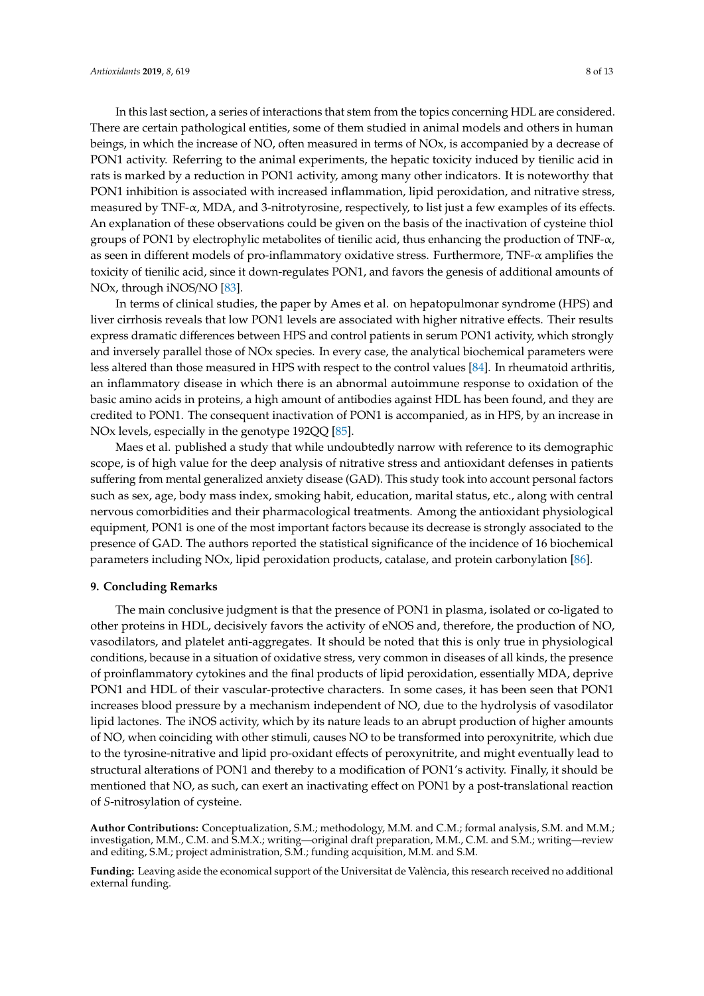In this last section, a series of interactions that stem from the topics concerning HDL are considered. There are certain pathological entities, some of them studied in animal models and others in human beings, in which the increase of NO, often measured in terms of NOx, is accompanied by a decrease of PON1 activity. Referring to the animal experiments, the hepatic toxicity induced by tienilic acid in rats is marked by a reduction in PON1 activity, among many other indicators. It is noteworthy that PON1 inhibition is associated with increased inflammation, lipid peroxidation, and nitrative stress, measured by TNF- $\alpha$ , MDA, and 3-nitrotyrosine, respectively, to list just a few examples of its effects. An explanation of these observations could be given on the basis of the inactivation of cysteine thiol groups of PON1 by electrophylic metabolites of tienilic acid, thus enhancing the production of TNF- $\alpha$ , as seen in different models of pro-inflammatory oxidative stress. Furthermore, TNF-α amplifies the toxicity of tienilic acid, since it down-regulates PON1, and favors the genesis of additional amounts of NOx, through iNOS/NO [\[83\]](#page-12-9).

In terms of clinical studies, the paper by Ames et al. on hepatopulmonar syndrome (HPS) and liver cirrhosis reveals that low PON1 levels are associated with higher nitrative effects. Their results express dramatic differences between HPS and control patients in serum PON1 activity, which strongly and inversely parallel those of NOx species. In every case, the analytical biochemical parameters were less altered than those measured in HPS with respect to the control values [\[84\]](#page-12-10). In rheumatoid arthritis, an inflammatory disease in which there is an abnormal autoimmune response to oxidation of the basic amino acids in proteins, a high amount of antibodies against HDL has been found, and they are credited to PON1. The consequent inactivation of PON1 is accompanied, as in HPS, by an increase in NOx levels, especially in the genotype 192QQ [\[85\]](#page-12-11).

Maes et al. published a study that while undoubtedly narrow with reference to its demographic scope, is of high value for the deep analysis of nitrative stress and antioxidant defenses in patients suffering from mental generalized anxiety disease (GAD). This study took into account personal factors such as sex, age, body mass index, smoking habit, education, marital status, etc., along with central nervous comorbidities and their pharmacological treatments. Among the antioxidant physiological equipment, PON1 is one of the most important factors because its decrease is strongly associated to the presence of GAD. The authors reported the statistical significance of the incidence of 16 biochemical parameters including NOx, lipid peroxidation products, catalase, and protein carbonylation [\[86\]](#page-12-12).

#### **9. Concluding Remarks**

The main conclusive judgment is that the presence of PON1 in plasma, isolated or co-ligated to other proteins in HDL, decisively favors the activity of eNOS and, therefore, the production of NO, vasodilators, and platelet anti-aggregates. It should be noted that this is only true in physiological conditions, because in a situation of oxidative stress, very common in diseases of all kinds, the presence of proinflammatory cytokines and the final products of lipid peroxidation, essentially MDA, deprive PON1 and HDL of their vascular-protective characters. In some cases, it has been seen that PON1 increases blood pressure by a mechanism independent of NO, due to the hydrolysis of vasodilator lipid lactones. The iNOS activity, which by its nature leads to an abrupt production of higher amounts of NO, when coinciding with other stimuli, causes NO to be transformed into peroxynitrite, which due to the tyrosine-nitrative and lipid pro-oxidant effects of peroxynitrite, and might eventually lead to structural alterations of PON1 and thereby to a modification of PON1's activity. Finally, it should be mentioned that NO, as such, can exert an inactivating effect on PON1 by a post-translational reaction of *S*-nitrosylation of cysteine.

**Author Contributions:** Conceptualization, S.M.; methodology, M.M. and C.M.; formal analysis, S.M. and M.M.; investigation, M.M., C.M. and S.M.X.; writing—original draft preparation, M.M., C.M. and S.M.; writing—review and editing, S.M.; project administration, S.M.; funding acquisition, M.M. and S.M.

**Funding:** Leaving aside the economical support of the Universitat de València, this research received no additional external funding.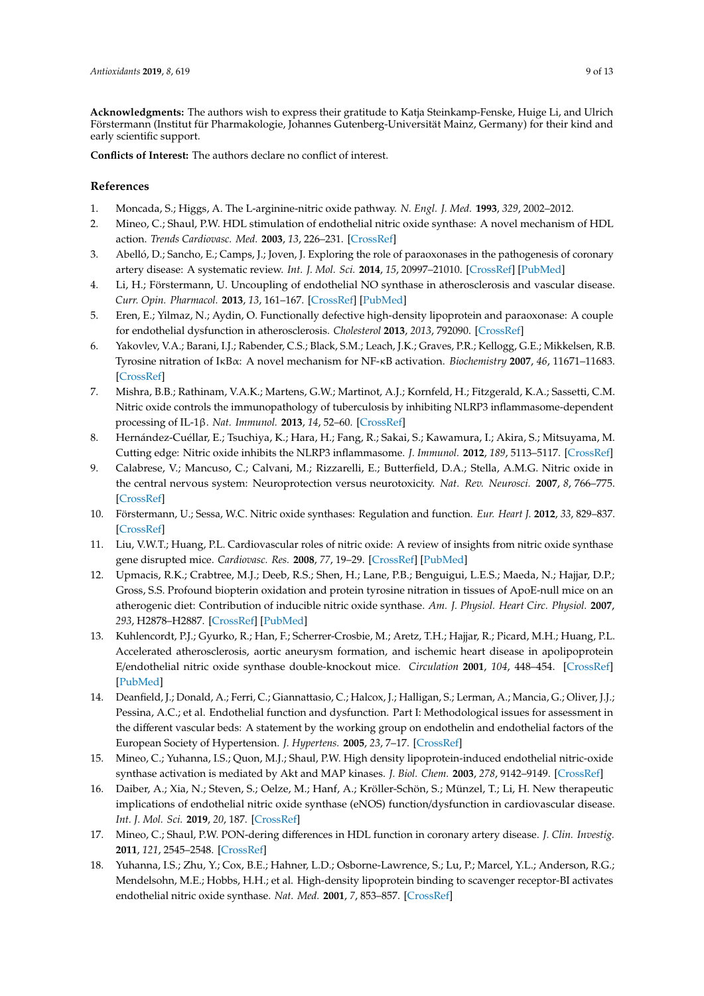**Acknowledgments:** The authors wish to express their gratitude to Katja Steinkamp-Fenske, Huige Li, and Ulrich Förstermann (Institut für Pharmakologie, Johannes Gutenberg-Universität Mainz, Germany) for their kind and early scientific support.

**Conflicts of Interest:** The authors declare no conflict of interest.

## **References**

- <span id="page-8-0"></span>1. Moncada, S.; Higgs, A. The L-arginine-nitric oxide pathway. *N. Engl. J. Med.* **1993**, *329*, 2002–2012.
- <span id="page-8-1"></span>2. Mineo, C.; Shaul, P.W. HDL stimulation of endothelial nitric oxide synthase: A novel mechanism of HDL action. *Trends Cardiovasc. Med.* **2003**, *13*, 226–231. [\[CrossRef\]](http://dx.doi.org/10.1016/S1050-1738(03)00098-7)
- <span id="page-8-2"></span>3. Abelló, D.; Sancho, E.; Camps, J.; Joven, J. Exploring the role of paraoxonases in the pathogenesis of coronary artery disease: A systematic review. *Int. J. Mol. Sci.* **2014**, *15*, 20997–21010. [\[CrossRef\]](http://dx.doi.org/10.3390/ijms151120997) [\[PubMed\]](http://www.ncbi.nlm.nih.gov/pubmed/25405733)
- <span id="page-8-3"></span>4. Li, H.; Förstermann, U. Uncoupling of endothelial NO synthase in atherosclerosis and vascular disease. *Curr. Opin. Pharmacol.* **2013**, *13*, 161–167. [\[CrossRef\]](http://dx.doi.org/10.1016/j.coph.2013.01.006) [\[PubMed\]](http://www.ncbi.nlm.nih.gov/pubmed/23395155)
- <span id="page-8-4"></span>5. Eren, E.; Yilmaz, N.; Aydin, O. Functionally defective high-density lipoprotein and paraoxonase: A couple for endothelial dysfunction in atherosclerosis. *Cholesterol* **2013**, *2013*, 792090. [\[CrossRef\]](http://dx.doi.org/10.1155/2013/792090)
- <span id="page-8-5"></span>6. Yakovlev, V.A.; Barani, I.J.; Rabender, C.S.; Black, S.M.; Leach, J.K.; Graves, P.R.; Kellogg, G.E.; Mikkelsen, R.B. Tyrosine nitration of IκBα: A novel mechanism for NF-κB activation. *Biochemistry* **2007**, *46*, 11671–11683. [\[CrossRef\]](http://dx.doi.org/10.1021/bi701107z)
- 7. Mishra, B.B.; Rathinam, V.A.K.; Martens, G.W.; Martinot, A.J.; Kornfeld, H.; Fitzgerald, K.A.; Sassetti, C.M. Nitric oxide controls the immunopathology of tuberculosis by inhibiting NLRP3 inflammasome-dependent processing of IL-1β. *Nat. Immunol.* **2013**, *14*, 52–60. [\[CrossRef\]](http://dx.doi.org/10.1038/ni.2474)
- <span id="page-8-6"></span>8. Hernández-Cuéllar, E.; Tsuchiya, K.; Hara, H.; Fang, R.; Sakai, S.; Kawamura, I.; Akira, S.; Mitsuyama, M. Cutting edge: Nitric oxide inhibits the NLRP3 inflammasome. *J. Immunol.* **2012**, *189*, 5113–5117. [\[CrossRef\]](http://dx.doi.org/10.4049/jimmunol.1202479)
- <span id="page-8-7"></span>9. Calabrese, V.; Mancuso, C.; Calvani, M.; Rizzarelli, E.; Butterfield, D.A.; Stella, A.M.G. Nitric oxide in the central nervous system: Neuroprotection versus neurotoxicity. *Nat. Rev. Neurosci.* **2007**, *8*, 766–775. [\[CrossRef\]](http://dx.doi.org/10.1038/nrn2214)
- <span id="page-8-8"></span>10. Förstermann, U.; Sessa, W.C. Nitric oxide synthases: Regulation and function. *Eur. Heart J.* **2012**, *33*, 829–837. [\[CrossRef\]](http://dx.doi.org/10.1093/eurheartj/ehr304)
- <span id="page-8-9"></span>11. Liu, V.W.T.; Huang, P.L. Cardiovascular roles of nitric oxide: A review of insights from nitric oxide synthase gene disrupted mice. *Cardiovasc. Res.* **2008**, *77*, 19–29. [\[CrossRef\]](http://dx.doi.org/10.1016/j.cardiores.2007.06.024) [\[PubMed\]](http://www.ncbi.nlm.nih.gov/pubmed/17658499)
- <span id="page-8-10"></span>12. Upmacis, R.K.; Crabtree, M.J.; Deeb, R.S.; Shen, H.; Lane, P.B.; Benguigui, L.E.S.; Maeda, N.; Hajjar, D.P.; Gross, S.S. Profound biopterin oxidation and protein tyrosine nitration in tissues of ApoE-null mice on an atherogenic diet: Contribution of inducible nitric oxide synthase. *Am. J. Physiol. Heart Circ. Physiol.* **2007**, *293*, H2878–H2887. [\[CrossRef\]](http://dx.doi.org/10.1152/ajpheart.01144.2006) [\[PubMed\]](http://www.ncbi.nlm.nih.gov/pubmed/17766468)
- <span id="page-8-11"></span>13. Kuhlencordt, P.J.; Gyurko, R.; Han, F.; Scherrer-Crosbie, M.; Aretz, T.H.; Hajjar, R.; Picard, M.H.; Huang, P.L. Accelerated atherosclerosis, aortic aneurysm formation, and ischemic heart disease in apolipoprotein E/endothelial nitric oxide synthase double-knockout mice. *Circulation* **2001**, *104*, 448–454. [\[CrossRef\]](http://dx.doi.org/10.1161/hc2901.091399) [\[PubMed\]](http://www.ncbi.nlm.nih.gov/pubmed/11468208)
- <span id="page-8-12"></span>14. Deanfield, J.; Donald, A.; Ferri, C.; Giannattasio, C.; Halcox, J.; Halligan, S.; Lerman, A.; Mancia, G.; Oliver, J.J.; Pessina, A.C.; et al. Endothelial function and dysfunction. Part I: Methodological issues for assessment in the different vascular beds: A statement by the working group on endothelin and endothelial factors of the European Society of Hypertension. *J. Hypertens.* **2005**, *23*, 7–17. [\[CrossRef\]](http://dx.doi.org/10.1097/00004872-200501000-00004)
- <span id="page-8-13"></span>15. Mineo, C.; Yuhanna, I.S.; Quon, M.J.; Shaul, P.W. High density lipoprotein-induced endothelial nitric-oxide synthase activation is mediated by Akt and MAP kinases. *J. Biol. Chem.* **2003**, *278*, 9142–9149. [\[CrossRef\]](http://dx.doi.org/10.1074/jbc.M211394200)
- <span id="page-8-14"></span>16. Daiber, A.; Xia, N.; Steven, S.; Oelze, M.; Hanf, A.; Kröller-Schön, S.; Münzel, T.; Li, H. New therapeutic implications of endothelial nitric oxide synthase (eNOS) function/dysfunction in cardiovascular disease. *Int. J. Mol. Sci.* **2019**, *20*, 187. [\[CrossRef\]](http://dx.doi.org/10.3390/ijms20010187)
- <span id="page-8-15"></span>17. Mineo, C.; Shaul, P.W. PON-dering differences in HDL function in coronary artery disease. *J. Clin. Investig.* **2011**, *121*, 2545–2548. [\[CrossRef\]](http://dx.doi.org/10.1172/JCI57671)
- <span id="page-8-16"></span>18. Yuhanna, I.S.; Zhu, Y.; Cox, B.E.; Hahner, L.D.; Osborne-Lawrence, S.; Lu, P.; Marcel, Y.L.; Anderson, R.G.; Mendelsohn, M.E.; Hobbs, H.H.; et al. High-density lipoprotein binding to scavenger receptor-BI activates endothelial nitric oxide synthase. *Nat. Med.* **2001**, *7*, 853–857. [\[CrossRef\]](http://dx.doi.org/10.1038/89986)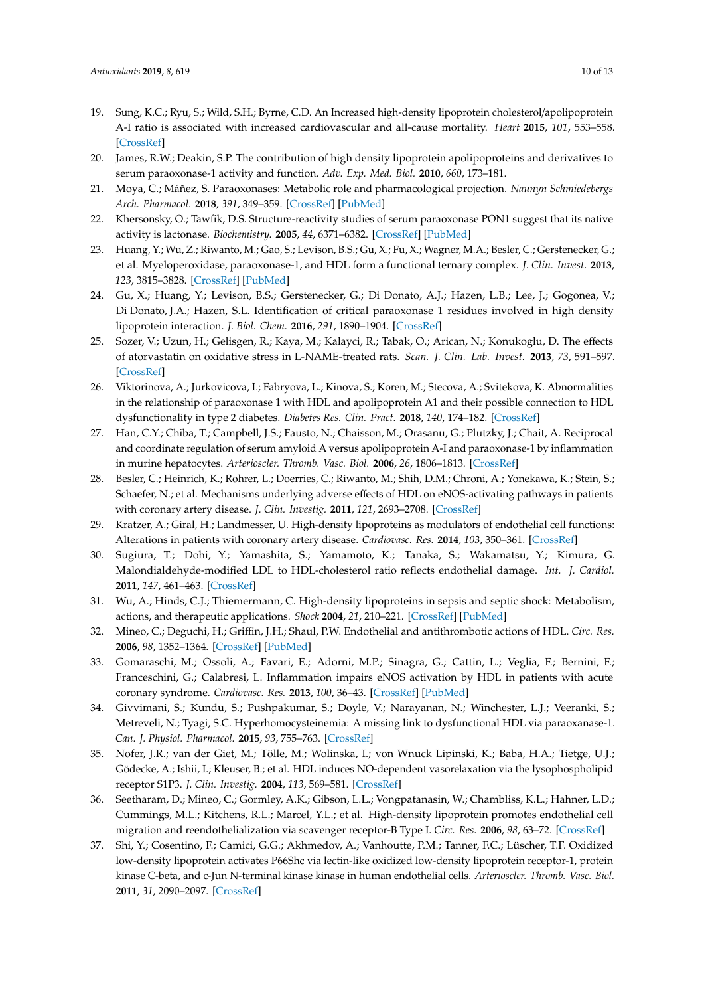- <span id="page-9-0"></span>19. Sung, K.C.; Ryu, S.; Wild, S.H.; Byrne, C.D. An Increased high-density lipoprotein cholesterol/apolipoprotein A-I ratio is associated with increased cardiovascular and all-cause mortality. *Heart* **2015**, *101*, 553–558. [\[CrossRef\]](http://dx.doi.org/10.1136/heartjnl-2014-306784)
- <span id="page-9-1"></span>20. James, R.W.; Deakin, S.P. The contribution of high density lipoprotein apolipoproteins and derivatives to serum paraoxonase-1 activity and function. *Adv. Exp. Med. Biol.* **2010**, *660*, 173–181.
- <span id="page-9-2"></span>21. Moya, C.; Máñez, S. Paraoxonases: Metabolic role and pharmacological projection. *Naunyn Schmiedebergs Arch. Pharmacol.* **2018**, *391*, 349–359. [\[CrossRef\]](http://dx.doi.org/10.1007/s00210-018-1473-9) [\[PubMed\]](http://www.ncbi.nlm.nih.gov/pubmed/29404699)
- <span id="page-9-3"></span>22. Khersonsky, O.; Tawfik, D.S. Structure-reactivity studies of serum paraoxonase PON1 suggest that its native activity is lactonase. *Biochemistry.* **2005**, *44*, 6371–6382. [\[CrossRef\]](http://dx.doi.org/10.1021/bi047440d) [\[PubMed\]](http://www.ncbi.nlm.nih.gov/pubmed/15835926)
- <span id="page-9-4"></span>23. Huang, Y.; Wu, Z.; Riwanto, M.; Gao, S.; Levison, B.S.; Gu, X.; Fu, X.; Wagner, M.A.; Besler, C.; Gerstenecker, G.; et al. Myeloperoxidase, paraoxonase-1, and HDL form a functional ternary complex. *J. Clin. Invest.* **2013**, *123*, 3815–3828. [\[CrossRef\]](http://dx.doi.org/10.1172/JCI67478) [\[PubMed\]](http://www.ncbi.nlm.nih.gov/pubmed/23908111)
- <span id="page-9-5"></span>24. Gu, X.; Huang, Y.; Levison, B.S.; Gerstenecker, G.; Di Donato, A.J.; Hazen, L.B.; Lee, J.; Gogonea, V.; Di Donato, J.A.; Hazen, S.L. Identification of critical paraoxonase 1 residues involved in high density lipoprotein interaction. *J. Biol. Chem.* **2016**, *291*, 1890–1904. [\[CrossRef\]](http://dx.doi.org/10.1074/jbc.M115.678334)
- <span id="page-9-6"></span>25. Sozer, V.; Uzun, H.; Gelisgen, R.; Kaya, M.; Kalayci, R.; Tabak, O.; Arican, N.; Konukoglu, D. The effects of atorvastatin on oxidative stress in L-NAME-treated rats. *Scan. J. Clin. Lab. Invest.* **2013**, *73*, 591–597. [\[CrossRef\]](http://dx.doi.org/10.3109/00365513.2013.828241)
- <span id="page-9-7"></span>26. Viktorinova, A.; Jurkovicova, I.; Fabryova, L.; Kinova, S.; Koren, M.; Stecova, A.; Svitekova, K. Abnormalities in the relationship of paraoxonase 1 with HDL and apolipoprotein A1 and their possible connection to HDL dysfunctionality in type 2 diabetes. *Diabetes Res. Clin. Pract.* **2018**, *140*, 174–182. [\[CrossRef\]](http://dx.doi.org/10.1016/j.diabres.2018.03.055)
- <span id="page-9-8"></span>27. Han, C.Y.; Chiba, T.; Campbell, J.S.; Fausto, N.; Chaisson, M.; Orasanu, G.; Plutzky, J.; Chait, A. Reciprocal and coordinate regulation of serum amyloid A versus apolipoprotein A-I and paraoxonase-1 by inflammation in murine hepatocytes. *Arterioscler. Thromb. Vasc. Biol.* **2006**, *26*, 1806–1813. [\[CrossRef\]](http://dx.doi.org/10.1161/01.ATV.0000227472.70734.ad)
- <span id="page-9-9"></span>28. Besler, C.; Heinrich, K.; Rohrer, L.; Doerries, C.; Riwanto, M.; Shih, D.M.; Chroni, A.; Yonekawa, K.; Stein, S.; Schaefer, N.; et al. Mechanisms underlying adverse effects of HDL on eNOS-activating pathways in patients with coronary artery disease. *J. Clin. Investig.* **2011**, *121*, 2693–2708. [\[CrossRef\]](http://dx.doi.org/10.1172/JCI42946)
- <span id="page-9-10"></span>29. Kratzer, A.; Giral, H.; Landmesser, U. High-density lipoproteins as modulators of endothelial cell functions: Alterations in patients with coronary artery disease. *Cardiovasc. Res.* **2014**, *103*, 350–361. [\[CrossRef\]](http://dx.doi.org/10.1093/cvr/cvu139)
- <span id="page-9-11"></span>30. Sugiura, T.; Dohi, Y.; Yamashita, S.; Yamamoto, K.; Tanaka, S.; Wakamatsu, Y.; Kimura, G. Malondialdehyde-modified LDL to HDL-cholesterol ratio reflects endothelial damage. *Int. J. Cardiol.* **2011**, *147*, 461–463. [\[CrossRef\]](http://dx.doi.org/10.1016/j.ijcard.2010.12.112)
- <span id="page-9-12"></span>31. Wu, A.; Hinds, C.J.; Thiemermann, C. High-density lipoproteins in sepsis and septic shock: Metabolism, actions, and therapeutic applications. *Shock* **2004**, *21*, 210–221. [\[CrossRef\]](http://dx.doi.org/10.1097/01.shk.0000111661.09279.82) [\[PubMed\]](http://www.ncbi.nlm.nih.gov/pubmed/14770033)
- <span id="page-9-13"></span>32. Mineo, C.; Deguchi, H.; Griffin, J.H.; Shaul, P.W. Endothelial and antithrombotic actions of HDL. *Circ. Res.* **2006**, *98*, 1352–1364. [\[CrossRef\]](http://dx.doi.org/10.1161/01.RES.0000225982.01988.93) [\[PubMed\]](http://www.ncbi.nlm.nih.gov/pubmed/16763172)
- <span id="page-9-14"></span>33. Gomaraschi, M.; Ossoli, A.; Favari, E.; Adorni, M.P.; Sinagra, G.; Cattin, L.; Veglia, F.; Bernini, F.; Franceschini, G.; Calabresi, L. Inflammation impairs eNOS activation by HDL in patients with acute coronary syndrome. *Cardiovasc. Res.* **2013**, *100*, 36–43. [\[CrossRef\]](http://dx.doi.org/10.1093/cvr/cvt169) [\[PubMed\]](http://www.ncbi.nlm.nih.gov/pubmed/23812298)
- <span id="page-9-15"></span>34. Givvimani, S.; Kundu, S.; Pushpakumar, S.; Doyle, V.; Narayanan, N.; Winchester, L.J.; Veeranki, S.; Metreveli, N.; Tyagi, S.C. Hyperhomocysteinemia: A missing link to dysfunctional HDL via paraoxanase-1. *Can. J. Physiol. Pharmacol.* **2015**, *93*, 755–763. [\[CrossRef\]](http://dx.doi.org/10.1139/cjpp-2014-0491)
- <span id="page-9-16"></span>35. Nofer, J.R.; van der Giet, M.; Tölle, M.; Wolinska, I.; von Wnuck Lipinski, K.; Baba, H.A.; Tietge, U.J.; Gödecke, A.; Ishii, I.; Kleuser, B.; et al. HDL induces NO-dependent vasorelaxation via the lysophospholipid receptor S1P3. *J. Clin. Investig.* **2004**, *113*, 569–581. [\[CrossRef\]](http://dx.doi.org/10.1172/JCI200418004)
- <span id="page-9-17"></span>36. Seetharam, D.; Mineo, C.; Gormley, A.K.; Gibson, L.L.; Vongpatanasin, W.; Chambliss, K.L.; Hahner, L.D.; Cummings, M.L.; Kitchens, R.L.; Marcel, Y.L.; et al. High-density lipoprotein promotes endothelial cell migration and reendothelialization via scavenger receptor-B Type I. *Circ. Res.* **2006**, *98*, 63–72. [\[CrossRef\]](http://dx.doi.org/10.1161/01.RES.0000199272.59432.5b)
- <span id="page-9-18"></span>37. Shi, Y.; Cosentino, F.; Camici, G.G.; Akhmedov, A.; Vanhoutte, P.M.; Tanner, F.C.; Lüscher, T.F. Oxidized low-density lipoprotein activates P66Shc via lectin-like oxidized low-density lipoprotein receptor-1, protein kinase C-beta, and c-Jun N-terminal kinase kinase in human endothelial cells. *Arterioscler. Thromb. Vasc. Biol.* **2011**, *31*, 2090–2097. [\[CrossRef\]](http://dx.doi.org/10.1161/ATVBAHA.111.229260)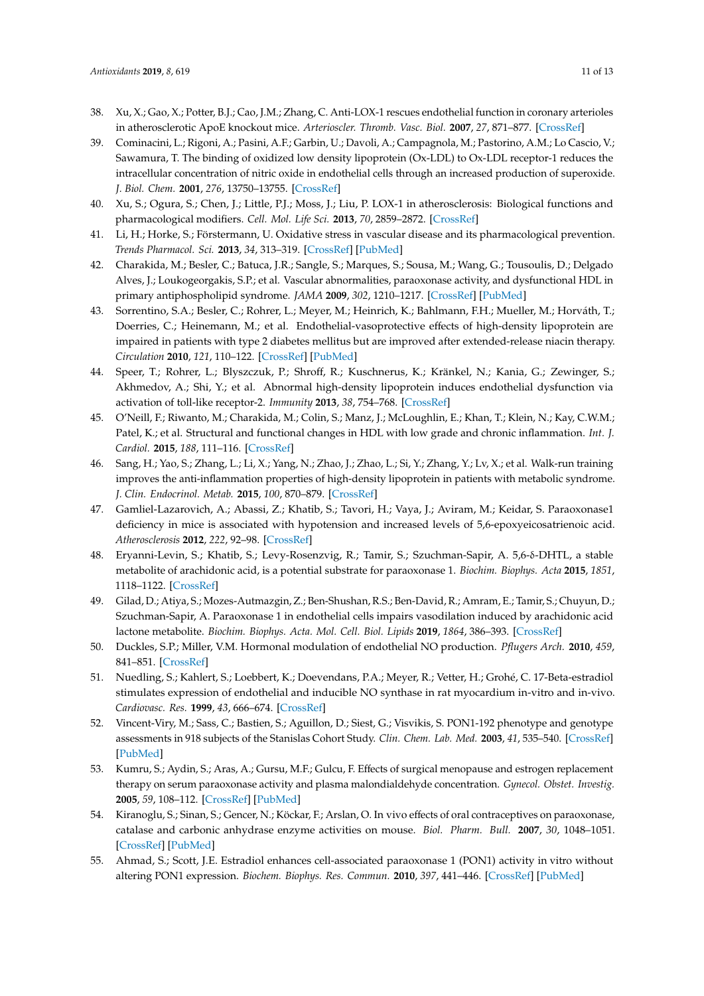- <span id="page-10-0"></span>38. Xu, X.; Gao, X.; Potter, B.J.; Cao, J.M.; Zhang, C. Anti-LOX-1 rescues endothelial function in coronary arterioles in atherosclerotic ApoE knockout mice. *Arterioscler. Thromb. Vasc. Biol.* **2007**, *27*, 871–877. [\[CrossRef\]](http://dx.doi.org/10.1161/01.ATV.0000259358.31234.37)
- 39. Cominacini, L.; Rigoni, A.; Pasini, A.F.; Garbin, U.; Davoli, A.; Campagnola, M.; Pastorino, A.M.; Lo Cascio, V.; Sawamura, T. The binding of oxidized low density lipoprotein (Ox-LDL) to Ox-LDL receptor-1 reduces the intracellular concentration of nitric oxide in endothelial cells through an increased production of superoxide. *J. Biol. Chem.* **2001**, *276*, 13750–13755. [\[CrossRef\]](http://dx.doi.org/10.1074/jbc.M010612200)
- <span id="page-10-1"></span>40. Xu, S.; Ogura, S.; Chen, J.; Little, P.J.; Moss, J.; Liu, P. LOX-1 in atherosclerosis: Biological functions and pharmacological modifiers. *Cell. Mol. Life Sci.* **2013**, *70*, 2859–2872. [\[CrossRef\]](http://dx.doi.org/10.1007/s00018-012-1194-z)
- <span id="page-10-2"></span>41. Li, H.; Horke, S.; Förstermann, U. Oxidative stress in vascular disease and its pharmacological prevention. *Trends Pharmacol. Sci.* **2013**, *34*, 313–319. [\[CrossRef\]](http://dx.doi.org/10.1016/j.tips.2013.03.007) [\[PubMed\]](http://www.ncbi.nlm.nih.gov/pubmed/23608227)
- <span id="page-10-3"></span>42. Charakida, M.; Besler, C.; Batuca, J.R.; Sangle, S.; Marques, S.; Sousa, M.; Wang, G.; Tousoulis, D.; Delgado Alves, J.; Loukogeorgakis, S.P.; et al. Vascular abnormalities, paraoxonase activity, and dysfunctional HDL in primary antiphospholipid syndrome. *JAMA* **2009**, *302*, 1210–1217. [\[CrossRef\]](http://dx.doi.org/10.1001/jama.2009.1346) [\[PubMed\]](http://www.ncbi.nlm.nih.gov/pubmed/19755700)
- 43. Sorrentino, S.A.; Besler, C.; Rohrer, L.; Meyer, M.; Heinrich, K.; Bahlmann, F.H.; Mueller, M.; Horváth, T.; Doerries, C.; Heinemann, M.; et al. Endothelial-vasoprotective effects of high-density lipoprotein are impaired in patients with type 2 diabetes mellitus but are improved after extended-release niacin therapy. *Circulation* **2010**, *121*, 110–122. [\[CrossRef\]](http://dx.doi.org/10.1161/CIRCULATIONAHA.108.836346) [\[PubMed\]](http://www.ncbi.nlm.nih.gov/pubmed/20026785)
- <span id="page-10-4"></span>44. Speer, T.; Rohrer, L.; Blyszczuk, P.; Shroff, R.; Kuschnerus, K.; Kränkel, N.; Kania, G.; Zewinger, S.; Akhmedov, A.; Shi, Y.; et al. Abnormal high-density lipoprotein induces endothelial dysfunction via activation of toll-like receptor-2. *Immunity* **2013**, *38*, 754–768. [\[CrossRef\]](http://dx.doi.org/10.1016/j.immuni.2013.02.009)
- <span id="page-10-5"></span>45. O'Neill, F.; Riwanto, M.; Charakida, M.; Colin, S.; Manz, J.; McLoughlin, E.; Khan, T.; Klein, N.; Kay, C.W.M.; Patel, K.; et al. Structural and functional changes in HDL with low grade and chronic inflammation. *Int. J. Cardiol.* **2015**, *188*, 111–116. [\[CrossRef\]](http://dx.doi.org/10.1016/j.ijcard.2015.03.058)
- <span id="page-10-6"></span>46. Sang, H.; Yao, S.; Zhang, L.; Li, X.; Yang, N.; Zhao, J.; Zhao, L.; Si, Y.; Zhang, Y.; Lv, X.; et al. Walk-run training improves the anti-inflammation properties of high-density lipoprotein in patients with metabolic syndrome. *J. Clin. Endocrinol. Metab.* **2015**, *100*, 870–879. [\[CrossRef\]](http://dx.doi.org/10.1210/jc.2014-2979)
- <span id="page-10-7"></span>47. Gamliel-Lazarovich, A.; Abassi, Z.; Khatib, S.; Tavori, H.; Vaya, J.; Aviram, M.; Keidar, S. Paraoxonase1 deficiency in mice is associated with hypotension and increased levels of 5,6-epoxyeicosatrienoic acid. *Atherosclerosis* **2012**, *222*, 92–98. [\[CrossRef\]](http://dx.doi.org/10.1016/j.atherosclerosis.2012.01.047)
- <span id="page-10-8"></span>48. Eryanni-Levin, S.; Khatib, S.; Levy-Rosenzvig, R.; Tamir, S.; Szuchman-Sapir, A. 5,6-δ-DHTL, a stable metabolite of arachidonic acid, is a potential substrate for paraoxonase 1. *Biochim. Biophys. Acta* **2015**, *1851*, 1118–1122. [\[CrossRef\]](http://dx.doi.org/10.1016/j.bbalip.2015.04.008)
- <span id="page-10-9"></span>49. Gilad, D.; Atiya, S.; Mozes-Autmazgin, Z.; Ben-Shushan, R.S.; Ben-David, R.; Amram, E.; Tamir, S.; Chuyun, D.; Szuchman-Sapir, A. Paraoxonase 1 in endothelial cells impairs vasodilation induced by arachidonic acid lactone metabolite. *Biochim. Biophys. Acta. Mol. Cell. Biol. Lipids* **2019**, *1864*, 386–393. [\[CrossRef\]](http://dx.doi.org/10.1016/j.bbalip.2018.12.008)
- <span id="page-10-10"></span>50. Duckles, S.P.; Miller, V.M. Hormonal modulation of endothelial NO production. *Pflugers Arch.* **2010**, *459*, 841–851. [\[CrossRef\]](http://dx.doi.org/10.1007/s00424-010-0797-1)
- <span id="page-10-11"></span>51. Nuedling, S.; Kahlert, S.; Loebbert, K.; Doevendans, P.A.; Meyer, R.; Vetter, H.; Grohé, C. 17-Beta-estradiol stimulates expression of endothelial and inducible NO synthase in rat myocardium in-vitro and in-vivo. *Cardiovasc. Res.* **1999**, *43*, 666–674. [\[CrossRef\]](http://dx.doi.org/10.1016/S0008-6363(99)00093-0)
- <span id="page-10-12"></span>52. Vincent-Viry, M.; Sass, C.; Bastien, S.; Aguillon, D.; Siest, G.; Visvikis, S. PON1-192 phenotype and genotype assessments in 918 subjects of the Stanislas Cohort Study. *Clin. Chem. Lab. Med.* **2003**, *41*, 535–540. [\[CrossRef\]](http://dx.doi.org/10.1515/CCLM.2003.081) [\[PubMed\]](http://www.ncbi.nlm.nih.gov/pubmed/12747599)
- <span id="page-10-13"></span>53. Kumru, S.; Aydin, S.; Aras, A.; Gursu, M.F.; Gulcu, F. Effects of surgical menopause and estrogen replacement therapy on serum paraoxonase activity and plasma malondialdehyde concentration. *Gynecol. Obstet. Investig.* **2005**, *59*, 108–112. [\[CrossRef\]](http://dx.doi.org/10.1159/000082647) [\[PubMed\]](http://www.ncbi.nlm.nih.gov/pubmed/15591805)
- <span id="page-10-14"></span>54. Kiranoglu, S.; Sinan, S.; Gencer, N.; Köckar, F.; Arslan, O. In vivo effects of oral contraceptives on paraoxonase, catalase and carbonic anhydrase enzyme activities on mouse. *Biol. Pharm. Bull.* **2007**, *30*, 1048–1051. [\[CrossRef\]](http://dx.doi.org/10.1248/bpb.30.1048) [\[PubMed\]](http://www.ncbi.nlm.nih.gov/pubmed/17541152)
- <span id="page-10-15"></span>55. Ahmad, S.; Scott, J.E. Estradiol enhances cell-associated paraoxonase 1 (PON1) activity in vitro without altering PON1 expression. *Biochem. Biophys. Res. Commun.* **2010**, *397*, 441–446. [\[CrossRef\]](http://dx.doi.org/10.1016/j.bbrc.2010.05.120) [\[PubMed\]](http://www.ncbi.nlm.nih.gov/pubmed/20510879)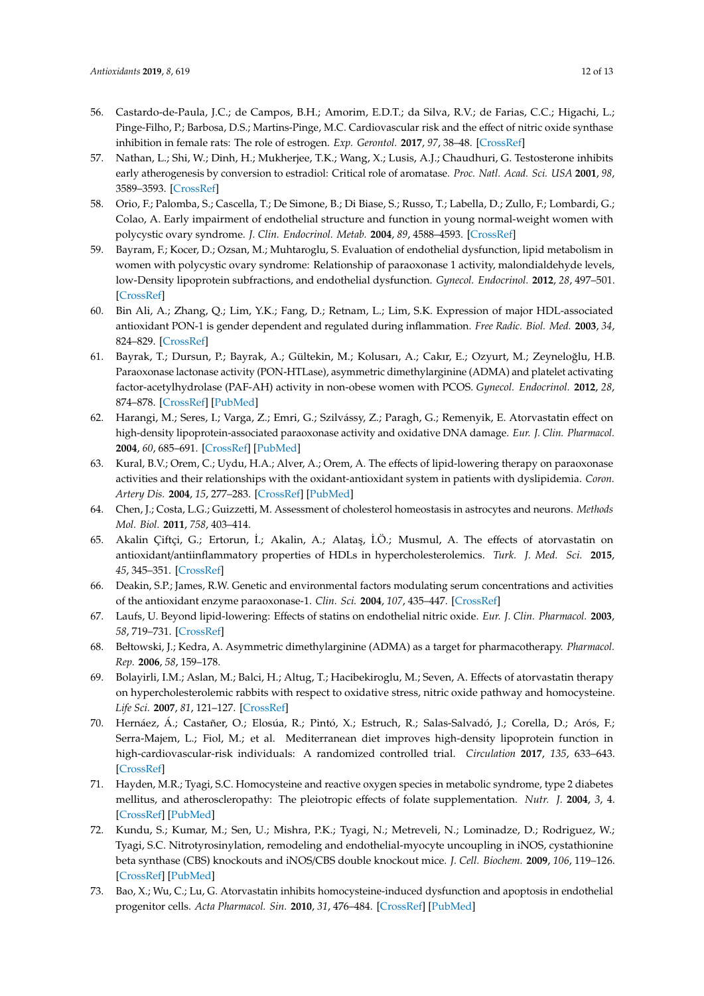- <span id="page-11-0"></span>56. Castardo-de-Paula, J.C.; de Campos, B.H.; Amorim, E.D.T.; da Silva, R.V.; de Farias, C.C.; Higachi, L.; Pinge-Filho, P.; Barbosa, D.S.; Martins-Pinge, M.C. Cardiovascular risk and the effect of nitric oxide synthase inhibition in female rats: The role of estrogen. *Exp. Gerontol.* **2017**, *97*, 38–48. [\[CrossRef\]](http://dx.doi.org/10.1016/j.exger.2017.07.016)
- <span id="page-11-1"></span>57. Nathan, L.; Shi, W.; Dinh, H.; Mukherjee, T.K.; Wang, X.; Lusis, A.J.; Chaudhuri, G. Testosterone inhibits early atherogenesis by conversion to estradiol: Critical role of aromatase. *Proc. Natl. Acad. Sci. USA* **2001**, *98*, 3589–3593. [\[CrossRef\]](http://dx.doi.org/10.1073/pnas.051003698)
- <span id="page-11-2"></span>58. Orio, F.; Palomba, S.; Cascella, T.; De Simone, B.; Di Biase, S.; Russo, T.; Labella, D.; Zullo, F.; Lombardi, G.; Colao, A. Early impairment of endothelial structure and function in young normal-weight women with polycystic ovary syndrome. *J. Clin. Endocrinol. Metab.* **2004**, *89*, 4588–4593. [\[CrossRef\]](http://dx.doi.org/10.1210/jc.2003-031867)
- <span id="page-11-3"></span>59. Bayram, F.; Kocer, D.; Ozsan, M.; Muhtaroglu, S. Evaluation of endothelial dysfunction, lipid metabolism in women with polycystic ovary syndrome: Relationship of paraoxonase 1 activity, malondialdehyde levels, low-Density lipoprotein subfractions, and endothelial dysfunction. *Gynecol. Endocrinol.* **2012**, *28*, 497–501. [\[CrossRef\]](http://dx.doi.org/10.3109/09513590.2011.569607)
- <span id="page-11-4"></span>60. Bin Ali, A.; Zhang, Q.; Lim, Y.K.; Fang, D.; Retnam, L.; Lim, S.K. Expression of major HDL-associated antioxidant PON-1 is gender dependent and regulated during inflammation. *Free Radic. Biol. Med.* **2003**, *34*, 824–829. [\[CrossRef\]](http://dx.doi.org/10.1016/S0891-5849(02)01436-3)
- <span id="page-11-5"></span>61. Bayrak, T.; Dursun, P.; Bayrak, A.; Gültekin, M.; Kolusarı, A.; Cakır, E.; Ozyurt, M.; Zeyneloğlu, H.B. Paraoxonase lactonase activity (PON-HTLase), asymmetric dimethylarginine (ADMA) and platelet activating factor-acetylhydrolase (PAF-AH) activity in non-obese women with PCOS. *Gynecol. Endocrinol.* **2012**, *28*, 874–878. [\[CrossRef\]](http://dx.doi.org/10.3109/09513590.2012.683068) [\[PubMed\]](http://www.ncbi.nlm.nih.gov/pubmed/22621680)
- <span id="page-11-6"></span>62. Harangi, M.; Seres, I.; Varga, Z.; Emri, G.; Szilvássy, Z.; Paragh, G.; Remenyik, E. Atorvastatin effect on high-density lipoprotein-associated paraoxonase activity and oxidative DNA damage. *Eur. J. Clin. Pharmacol.* **2004**, *60*, 685–691. [\[CrossRef\]](http://dx.doi.org/10.1007/s00228-004-0820-6) [\[PubMed\]](http://www.ncbi.nlm.nih.gov/pubmed/15490140)
- <span id="page-11-7"></span>63. Kural, B.V.; Orem, C.; Uydu, H.A.; Alver, A.; Orem, A. The effects of lipid-lowering therapy on paraoxonase activities and their relationships with the oxidant-antioxidant system in patients with dyslipidemia. *Coron. Artery Dis.* **2004**, *15*, 277–283. [\[CrossRef\]](http://dx.doi.org/10.1097/01.mca.0000135221.32523.a1) [\[PubMed\]](http://www.ncbi.nlm.nih.gov/pubmed/15238825)
- <span id="page-11-8"></span>64. Chen, J.; Costa, L.G.; Guizzetti, M. Assessment of cholesterol homeostasis in astrocytes and neurons. *Methods Mol. Biol.* **2011**, *758*, 403–414.
- <span id="page-11-9"></span>65. Akalin Çiftçi, G.; Ertorun, ˙I.; Akalin, A.; Alata¸s, ˙I.Ö.; Musmul, A. The effects of atorvastatin on antioxidant/antiinflammatory properties of HDLs in hypercholesterolemics. *Turk. J. Med. Sci.* **2015**, *45*, 345–351. [\[CrossRef\]](http://dx.doi.org/10.3906/sag-1311-91)
- <span id="page-11-10"></span>66. Deakin, S.P.; James, R.W. Genetic and environmental factors modulating serum concentrations and activities of the antioxidant enzyme paraoxonase-1. *Clin. Sci.* **2004**, *107*, 435–447. [\[CrossRef\]](http://dx.doi.org/10.1042/CS20040187)
- <span id="page-11-11"></span>67. Laufs, U. Beyond lipid-lowering: Effects of statins on endothelial nitric oxide. *Eur. J. Clin. Pharmacol.* **2003**, *58*, 719–731. [\[CrossRef\]](http://dx.doi.org/10.1007/s00228-002-0556-0)
- <span id="page-11-12"></span>68. Bełtowski, J.; Kedra, A. Asymmetric dimethylarginine (ADMA) as a target for pharmacotherapy. *Pharmacol. Rep.* **2006**, *58*, 159–178.
- <span id="page-11-13"></span>69. Bolayirli, I.M.; Aslan, M.; Balci, H.; Altug, T.; Hacibekiroglu, M.; Seven, A. Effects of atorvastatin therapy on hypercholesterolemic rabbits with respect to oxidative stress, nitric oxide pathway and homocysteine. *Life Sci.* **2007**, *81*, 121–127. [\[CrossRef\]](http://dx.doi.org/10.1016/j.lfs.2007.04.027)
- <span id="page-11-14"></span>70. Hernáez, Á.; Castañer, O.; Elosúa, R.; Pintó, X.; Estruch, R.; Salas-Salvadó, J.; Corella, D.; Arós, F.; Serra-Majem, L.; Fiol, M.; et al. Mediterranean diet improves high-density lipoprotein function in high-cardiovascular-risk individuals: A randomized controlled trial. *Circulation* **2017**, *135*, 633–643. [\[CrossRef\]](http://dx.doi.org/10.1161/CIRCULATIONAHA.116.023712)
- <span id="page-11-15"></span>71. Hayden, M.R.; Tyagi, S.C. Homocysteine and reactive oxygen species in metabolic syndrome, type 2 diabetes mellitus, and atheroscleropathy: The pleiotropic effects of folate supplementation. *Nutr. J.* **2004**, *3*, 4. [\[CrossRef\]](http://dx.doi.org/10.1186/1475-2891-3-4) [\[PubMed\]](http://www.ncbi.nlm.nih.gov/pubmed/15134582)
- <span id="page-11-16"></span>72. Kundu, S.; Kumar, M.; Sen, U.; Mishra, P.K.; Tyagi, N.; Metreveli, N.; Lominadze, D.; Rodriguez, W.; Tyagi, S.C. Nitrotyrosinylation, remodeling and endothelial-myocyte uncoupling in iNOS, cystathionine beta synthase (CBS) knockouts and iNOS/CBS double knockout mice. *J. Cell. Biochem.* **2009**, *106*, 119–126. [\[CrossRef\]](http://dx.doi.org/10.1002/jcb.21982) [\[PubMed\]](http://www.ncbi.nlm.nih.gov/pubmed/19021146)
- <span id="page-11-17"></span>73. Bao, X.; Wu, C.; Lu, G. Atorvastatin inhibits homocysteine-induced dysfunction and apoptosis in endothelial progenitor cells. *Acta Pharmacol. Sin.* **2010**, *31*, 476–484. [\[CrossRef\]](http://dx.doi.org/10.1038/aps.2010.22) [\[PubMed\]](http://www.ncbi.nlm.nih.gov/pubmed/20305681)